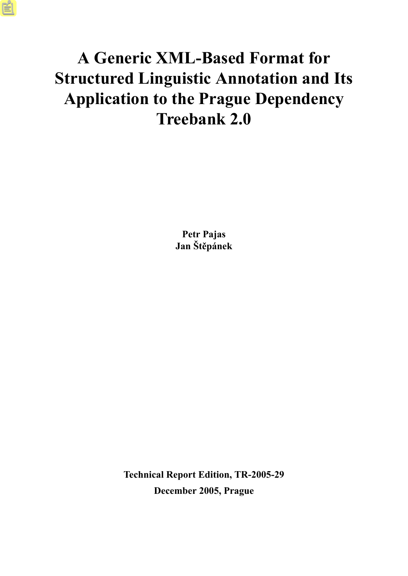## **A Generic XML-Based Format for Structured Linguistic Annotation and Its Application to the Prague Dependency Treebank 2.0**

**Petr Pajas Jan Štěpánek**

**Technical Report Edition, TR-2005-29 December 2005, Prague**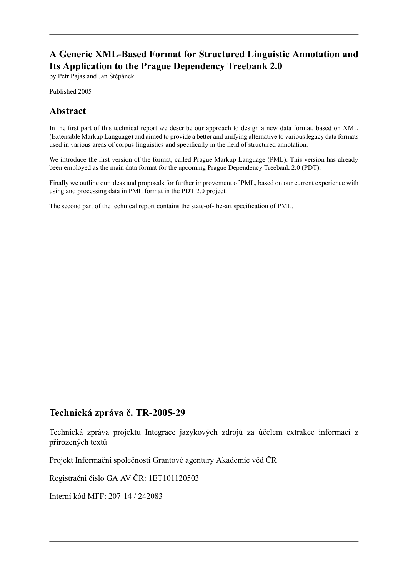### **A Generic XML-Based Format for Structured Linguistic Annotation and Its Application to the Prague Dependency Treebank 2.0**

by Petr Pajas and Jan Štěpánek

Published 2005

### **Abstract**

In the first part of this technical report we describe our approach to design a new data format, based on XML (Extensible Markup Language) and aimed to provide a better and unifying alternative to various legacy data formats used in various areas of corpus linguistics and specifically in the field of structured annotation.

We introduce the first version of the format, called Prague Markup Language (PML). This version has already been employed as the main data format for the upcoming Prague Dependency Treebank 2.0 (PDT).

Finally we outline our ideas and proposals for further improvement of PML, based on our current experience with using and processing data in PML format in the PDT 2.0 project.

The second part of the technical report contains the state-of-the-art specification of PML.

#### **Technická zpráva č. TR-2005-29**

Technická zpráva projektu Integrace jazykových zdrojů za účelem extrakce informací z přirozených textů

Projekt Informační společnosti Grantové agentury Akademie věd ČR

Registrační číslo GA AV ČR: 1ET101120503

Interní kód MFF: 207-14 / 242083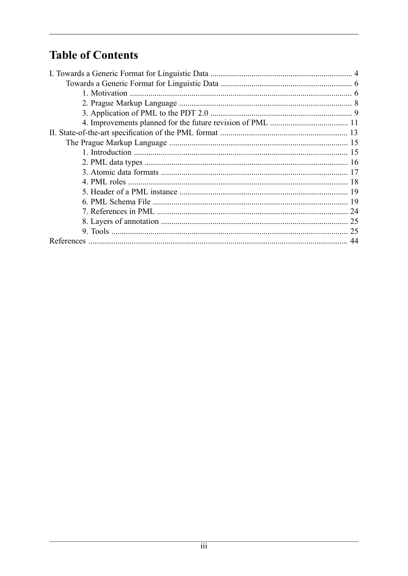## **Table of Contents**

| 25 |
|----|
| 44 |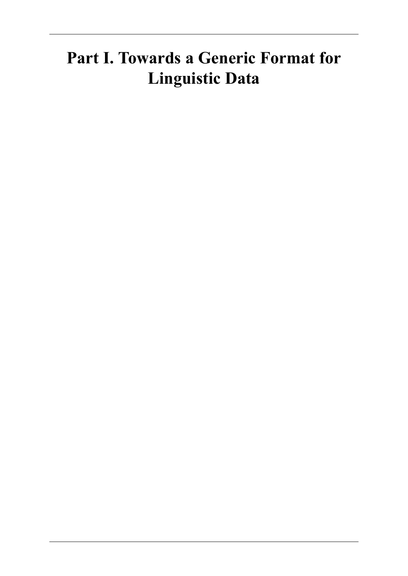## <span id="page-3-0"></span>**Part I. Towards a Generic Format for Linguistic Data**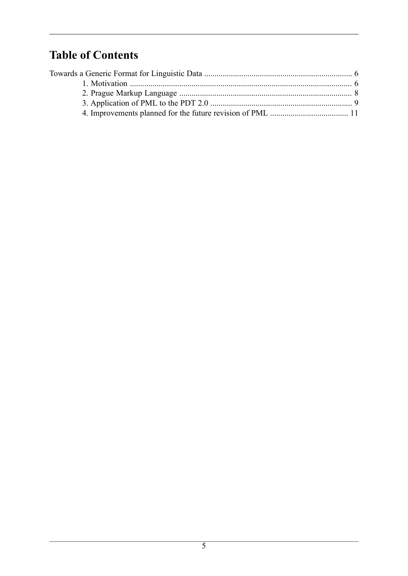## **Table of Contents**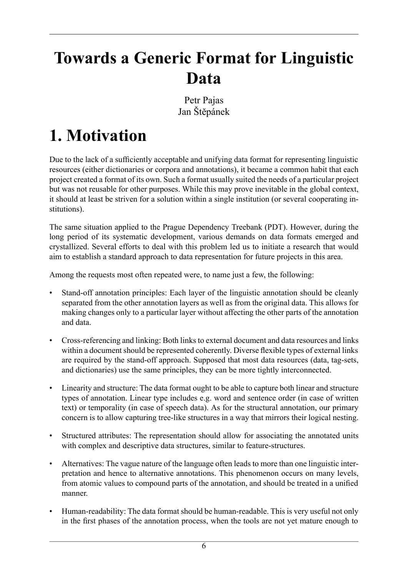## <span id="page-5-0"></span>**Towards a Generic Format for Linguistic Data**

Petr Pajas Jan Štěpánek

# <span id="page-5-1"></span>**1. Motivation**

Due to the lack of a sufficiently acceptable and unifying data format for representing linguistic resources (either dictionaries or corpora and annotations), it became a common habit that each project created a format of its own. Such a format usually suited the needs of a particular project but was not reusable for other purposes. While this may prove inevitable in the global context, it should at least be striven for a solution within a single institution (or several cooperating institutions).

The same situation applied to the Prague Dependency Treebank (PDT). However, during the long period of its systematic development, various demands on data formats emerged and crystallized. Several efforts to deal with this problem led us to initiate a research that would aim to establish a standard approach to data representation for future projects in this area.

Among the requests most often repeated were, to name just a few, the following:

- Stand-off annotation principles: Each layer of the linguistic annotation should be cleanly separated from the other annotation layers as well as from the original data. This allows for making changes only to a particular layer without affecting the other parts of the annotation and data.
- Cross-referencing and linking: Both links to external document and data resources and links within a document should be represented coherently. Diverse flexible types of external links are required by the stand-off approach. Supposed that most data resources (data, tag-sets, and dictionaries) use the same principles, they can be more tightly interconnected.
- Linearity and structure: The data format ought to be able to capture both linear and structure types of annotation. Linear type includes e.g. word and sentence order (in case of written text) or temporality (in case of speech data). As for the structural annotation, our primary concern is to allow capturing tree-like structures in a way that mirrors their logical nesting.
- Structured attributes: The representation should allow for associating the annotated units with complex and descriptive data structures, similar to feature-structures.
- Alternatives: The vague nature of the language often leads to more than one linguistic interpretation and hence to alternative annotations. This phenomenon occurs on many levels, from atomic values to compound parts of the annotation, and should be treated in a unified manner.
- Human-readability: The data format should be human-readable. This is very useful not only in the first phases of the annotation process, when the tools are not yet mature enough to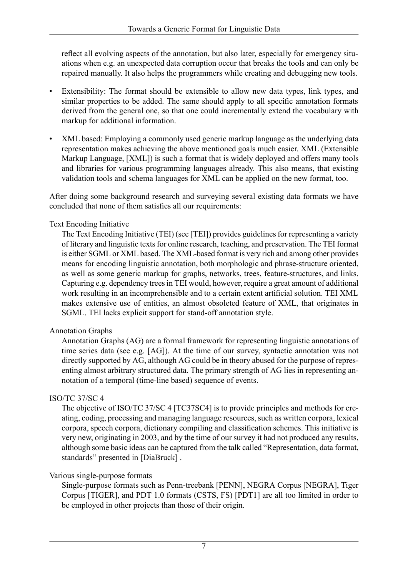reflect all evolving aspects of the annotation, but also later, especially for emergency situations when e.g. an unexpected data corruption occur that breaks the tools and can only be repaired manually. It also helps the programmers while creating and debugging new tools.

- Extensibility: The format should be extensible to allow new data types, link types, and similar properties to be added. The same should apply to all specific annotation formats derived from the general one, so that one could incrementally extend the vocabulary with markup for additional information.
- XML based: Employing a commonly used generic markup language as the underlying data representation makes achieving the above mentioned goals much easier. XML (Extensible Markup Language, [\[XML\]\)](#page-43-1) is such a format that is widely deployed and offers many tools and libraries for various programming languages already. This also means, that existing validation tools and schema languages for XML can be applied on the new format, too.

After doing some background research and surveying several existing data formats we have concluded that none of them satisfies all our requirements:

#### Text Encoding Initiative

The Text Encoding Initiative (TEI) (see [\[TEI\]](#page-43-2)) provides guidelines for representing a variety of literary and linguistic texts for online research, teaching, and preservation. The TEI format is either SGML or XML based. The XML-based format is very rich and among other provides means for encoding linguistic annotation, both morphologic and phrase-structure oriented, as well as some generic markup for graphs, networks, trees, feature-structures, and links. Capturing e.g. dependency trees in TEI would, however, require a great amount of additional work resulting in an incomprehensible and to a certain extent artificial solution. TEI XML makes extensive use of entities, an almost obsoleted feature of XML, that originates in SGML. TEI lacks explicit support for stand-off annotation style.

#### Annotation Graphs

Annotation Graphs (AG) are a formal framework for representing linguistic annotations of time series data (see e.g. [\[AG\]\)](#page-43-3). At the time of our survey, syntactic annotation was not directly supported by AG, although AG could be in theory abused for the purpose of representing almost arbitrary structured data. The primary strength of AG lies in representing annotation of a temporal (time-line based) sequence of events.

#### ISO/TC 37/SC 4

The objective of ISO/TC 37/SC 4 [\[TC37SC4\]](#page-44-0) is to provide principles and methods for creating, coding, processing and managing language resources, such as written corpora, lexical corpora, speech corpora, dictionary compiling and classification schemes. This initiative is very new, originating in 2003, and by the time of our survey it had not produced any results, although some basic ideas can be captured from the talk called "Representation, data format, standards" presented in [\[DiaBruck\]](#page-44-1) .

#### Various single-purpose formats

Single-purpose formats such as Penn-treebank [\[PENN\],](#page-44-2) NEGRA Corpus [\[NEGRA\],](#page-44-3) Tiger Corpus [\[TIGER\]](#page-44-4), and PDT 1.0 formats (CSTS, FS) [\[PDT1\]](#page-43-4) are all too limited in order to be employed in other projects than those of their origin.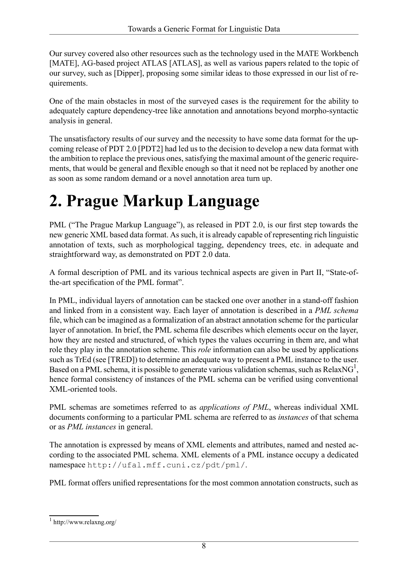Our survey covered also other resources such as the technology used in the MATE Workbench [\[MATE\],](#page-43-5) AG-based project ATLAS [\[ATLAS\]](#page-43-6), as well as various papers related to the topic of our survey, such as [\[Dipper\],](#page-43-7) proposing some similar ideas to those expressed in our list of requirements.

One of the main obstacles in most of the surveyed cases is the requirement for the ability to adequately capture dependency-tree like annotation and annotations beyond morpho-syntactic analysis in general.

The unsatisfactory results of our survey and the necessity to have some data format for the upcoming release of PDT 2.0 [\[PDT2\]](#page-43-8) had led us to the decision to develop a new data format with the ambition to replace the previous ones, satisfying the maximal amount of the generic requirements, that would be general and flexible enough so that it need not be replaced by another one as soon as some random demand or a novel annotation area turn up.

# <span id="page-7-0"></span>**2. Prague Markup Language**

PML ("The Prague Markup Language"), as released in PDT 2.0, is our first step towards the new generic XML based data format. As such, it is already capable of representing rich linguistic annotation of texts, such as morphological tagging, dependency trees, etc. in adequate and straightforward way, as demonstrated on PDT 2.0 data.

A formal description of PML and its various technical aspects are given in [Part II, "State-of](#page-12-0)[the-art specification of the PML format"](#page-12-0).

In PML, individual layers of annotation can be stacked one over another in a stand-off fashion and linked from in a consistent way. Each layer of annotation is described in a *PML schema* file, which can be imagined as a formalization of an abstract annotation scheme for the particular layer of annotation. In brief, the PML schema file describes which elements occur on the layer, how they are nested and structured, of which types the values occurring in them are, and what role they play in the annotation scheme. This *role* information can also be used by applications such as TrEd (see [\[TRED\]\)](#page-44-5) to determine an adequate way to present a PML instance to the user. Based on a PML schema, it is possible to generate various validation schemas, such as [RelaxNG](http://www.relaxng.org/)<sup>1</sup>, hence formal consistency of instances of the PML schema can be verified using conventional XML-oriented tools.

PML schemas are sometimes referred to as *applications of PML*, whereas individual XML documents conforming to a particular PML schema are referred to as *instances* of that schema or as *PML instances* in general.

The annotation is expressed by means of XML elements and attributes, named and nested according to the associated PML schema. XML elements of a PML instance occupy a dedicated namespace http://ufal.mff.cuni.cz/pdt/pml/.

PML format offers unified representations for the most common annotation constructs, such as

<sup>1</sup> http://www.relaxng.org/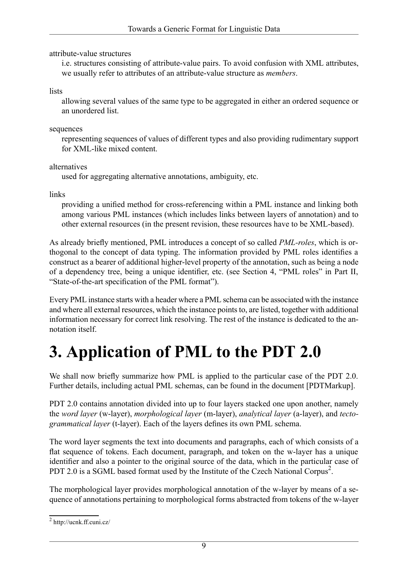attribute-value structures

i.e. structures consisting of attribute-value pairs. To avoid confusion with XML attributes, we usually refer to attributes of an attribute-value structure as *members*.

lists

allowing several values of the same type to be aggregated in either an ordered sequence or an unordered list.

sequences

representing sequences of values of different types and also providing rudimentary support for XML-like mixed content.

alternatives

used for aggregating alternative annotations, ambiguity, etc.

links

providing a unified method for cross-referencing within a PML instance and linking both among various PML instances (which includes links between layers of annotation) and to other external resources (in the present revision, these resources have to be XML-based).

As already briefly mentioned, PML introduces a concept of so called *PML-roles*, which is orthogonal to the concept of data typing. The information provided by PML roles identifies a construct as a bearer of additional higher-level property of the annotation, such as being a node of a dependency tree, being a unique identifier, etc. (see [Section 4, "PML roles"](#page-17-0) in [Part II,](#page-12-0) ["State-of-the-art specification of the PML format"\)](#page-12-0).

<span id="page-8-0"></span>Every PML instance starts with a header where a PML schema can be associated with the instance and where all external resources, which the instance points to, are listed, together with additional information necessary for correct link resolving. The rest of the instance is dedicated to the annotation itself.

# **3. Application of PML to the PDT 2.0**

We shall now briefly summarize how PML is applied to the particular case of the PDT 2.0. Further details, including actual PML schemas, can be found in the document [\[PDTMarkup\].](#page-44-6)

PDT 2.0 contains annotation divided into up to four layers stacked one upon another, namely the *word layer* (w-layer), *morphological layer* (m-layer), *analytical layer* (a-layer), and *tectogrammatical layer* (t-layer). Each of the layers defines its own PML schema.

The word layer segments the text into documents and paragraphs, each of which consists of a flat sequence of tokens. Each document, paragraph, and token on the w-layer has a unique identifier and also a pointer to the original source of the data, which in the particular case of PDT 2.0 is a SGML based format used by the [Institute of the Czech National Corpus](http://ucnk.ff.cuni.cz/)<sup>2</sup>.

The morphological layer provides morphological annotation of the w-layer by means of a sequence of annotations pertaining to morphological forms abstracted from tokens of the w-layer

<sup>2</sup> http://ucnk.ff.cuni.cz/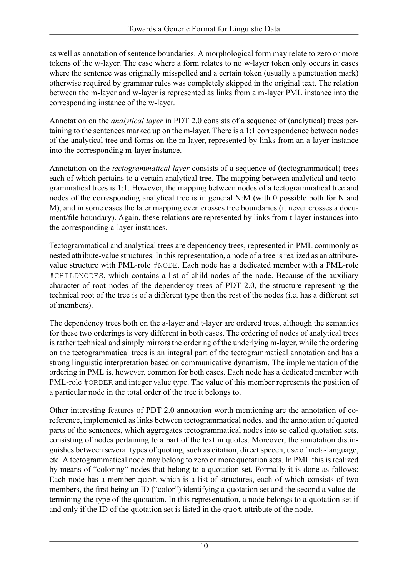as well as annotation of sentence boundaries. A morphological form may relate to zero or more tokens of the w-layer. The case where a form relates to no w-layer token only occurs in cases where the sentence was originally misspelled and a certain token (usually a punctuation mark) otherwise required by grammar rules was completely skipped in the original text. The relation between the m-layer and w-layer is represented as links from a m-layer PML instance into the corresponding instance of the w-layer.

Annotation on the *analytical layer* in PDT 2.0 consists of a sequence of (analytical) trees pertaining to the sentences marked up on the m-layer. There is a 1:1 correspondence between nodes of the analytical tree and forms on the m-layer, represented by links from an a-layer instance into the corresponding m-layer instance.

Annotation on the *tectogrammatical layer* consists of a sequence of (tectogrammatical) trees each of which pertains to a certain analytical tree. The mapping between analytical and tectogrammatical trees is 1:1. However, the mapping between nodes of a tectogrammatical tree and nodes of the corresponding analytical tree is in general N:M (with 0 possible both for N and M), and in some cases the later mapping even crosses tree boundaries (it never crosses a document/file boundary). Again, these relations are represented by links from t-layer instances into the corresponding a-layer instances.

Tectogrammatical and analytical trees are dependency trees, represented in PML commonly as nested attribute-value structures. In this representation, a node of a tree is realized as an attributevalue structure with PML-role #NODE. Each node has a dedicated member with a PML-role #CHILDNODES, which contains a list of child-nodes of the node. Because of the auxiliary character of root nodes of the dependency trees of PDT 2.0, the structure representing the technical root of the tree is of a different type then the rest of the nodes (i.e. has a different set of members).

The dependency trees both on the a-layer and t-layer are ordered trees, although the semantics for these two orderings is very different in both cases. The ordering of nodes of analytical trees is rather technical and simply mirrors the ordering of the underlying m-layer, while the ordering on the tectogrammatical trees is an integral part of the tectogrammatical annotation and has a strong linguistic interpretation based on communicative dynamism. The implementation of the ordering in PML is, however, common for both cases. Each node has a dedicated member with PML-role #ORDER and integer value type. The value of this member represents the position of a particular node in the total order of the tree it belongs to.

Other interesting features of PDT 2.0 annotation worth mentioning are the annotation of coreference, implemented as links between tectogrammatical nodes, and the annotation of quoted parts of the sentences, which aggregates tectogrammatical nodes into so called quotation sets, consisting of nodes pertaining to a part of the text in quotes. Moreover, the annotation distinguishes between several types of quoting, such as citation, direct speech, use of meta-language, etc. A tectogrammatical node may belong to zero or more quotation sets. In PML this is realized by means of "coloring" nodes that belong to a quotation set. Formally it is done as follows: Each node has a member quot which is a list of structures, each of which consists of two members, the first being an ID ("color") identifying a quotation set and the second a value determining the type of the quotation. In this representation, a node belongs to a quotation set if and only if the ID of the quotation set is listed in the quot attribute of the node.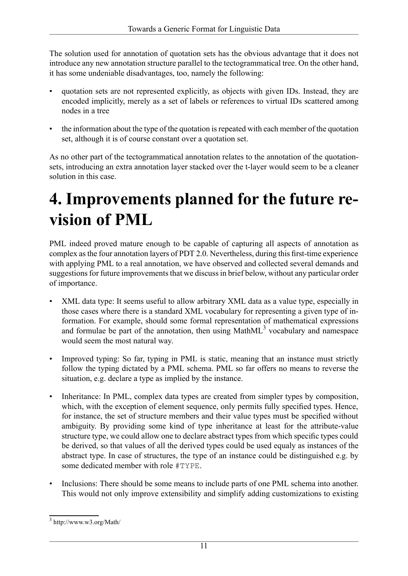The solution used for annotation of quotation sets has the obvious advantage that it does not introduce any new annotation structure parallel to the tectogrammatical tree. On the other hand, it has some undeniable disadvantages, too, namely the following:

- quotation sets are not represented explicitly, as objects with given IDs. Instead, they are encoded implicitly, merely as a set of labels or references to virtual IDs scattered among nodes in a tree
- the information about the type of the quotation is repeated with each member of the quotation set, although it is of course constant over a quotation set.

<span id="page-10-0"></span>As no other part of the tectogrammatical annotation relates to the annotation of the quotationsets, introducing an extra annotation layer stacked over the t-layer would seem to be a cleaner solution in this case.

## **4. Improvements planned for the future revision of PML**

PML indeed proved mature enough to be capable of capturing all aspects of annotation as complex as the four annotation layers of PDT 2.0. Nevertheless, during this first-time experience with applying PML to a real annotation, we have observed and collected several demands and suggestions for future improvements that we discuss in brief below, without any particular order of importance.

- XML data type: It seems useful to allow arbitrary XML data as a value type, especially in those cases where there is a standard XML vocabulary for representing a given type of information. For example, should some formal representation of mathematical expressions and formulae be part of the annotation, then using  $MathML<sup>3</sup>$  $MathML<sup>3</sup>$  vocabulary and namespace would seem the most natural way.
- Improved typing: So far, typing in PML is static, meaning that an instance must strictly follow the typing dictated by a PML schema. PML so far offers no means to reverse the situation, e.g. declare a type as implied by the instance.
- Inheritance: In PML, complex data types are created from simpler types by composition, which, with the exception of element sequence, only permits fully specified types. Hence, for instance, the set of structure members and their value types must be specified without ambiguity. By providing some kind of type inheritance at least for the attribute-value structure type, we could allow one to declare abstract types from which specific types could be derived, so that values of all the derived types could be used equaly as instances of the abstract type. In case of structures, the type of an instance could be distinguished e.g. by some dedicated member with role #TYPE.
- Inclusions: There should be some means to include parts of one PML schema into another. This would not only improve extensibility and simplify adding customizations to existing

<sup>3</sup> http://www.w3.org/Math/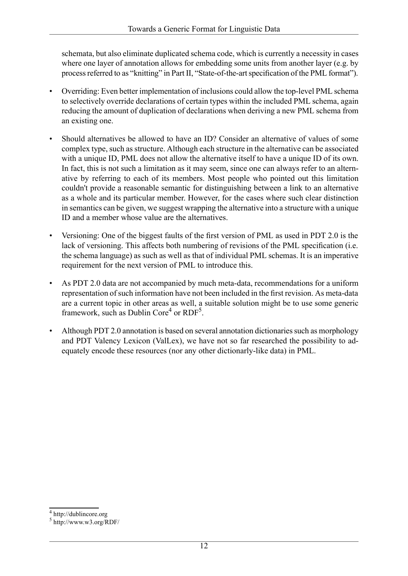schemata, but also eliminate duplicated schema code, which is currently a necessity in cases where one layer of annotation allows for embedding some units from another layer (e.g. by process referred to as "knitting" in [Part II, "State-of-the-art specification of the PML format"\)](#page-12-0).

- Overriding: Even better implementation of inclusions could allow the top-level PML schema to selectively override declarations of certain types within the included PML schema, again reducing the amount of duplication of declarations when deriving a new PML schema from an existing one.
- Should alternatives be allowed to have an ID? Consider an alternative of values of some complex type, such as structure. Although each structure in the alternative can be associated with a unique ID, PML does not allow the alternative itself to have a unique ID of its own. In fact, this is not such a limitation as it may seem, since one can always refer to an alternative by referring to each of its members. Most people who pointed out this limitation couldn't provide a reasonable semantic for distinguishing between a link to an alternative as a whole and its particular member. However, for the cases where such clear distinction in semantics can be given, we suggest wrapping the alternative into a structure with a unique ID and a member whose value are the alternatives.
- Versioning: One of the biggest faults of the first version of PML as used in PDT 2.0 is the lack of versioning. This affects both numbering of revisions of the PML specification (i.e. the schema language) as such as well as that of individual PML schemas. It is an imperative requirement for the next version of PML to introduce this.
- As PDT 2.0 data are not accompanied by much meta-data, recommendations for a uniform representation of such information have not been included in the first revision. As meta-data are a current topic in other areas as well, a suitable solution might be to use some generic framework, such as [Dublin Core](http://dublincore.org)<sup>4</sup> or [RDF](http://www.w3.org/RDF/)<sup>5</sup>.
- Although PDT 2.0 annotation is based on several annotation dictionaries such as morphology and PDT Valency Lexicon (ValLex), we have not so far researched the possibility to adequately encode these resources (nor any other dictionarly-like data) in PML.

<sup>4</sup> http://dublincore.org

<sup>5</sup> http://www.w3.org/RDF/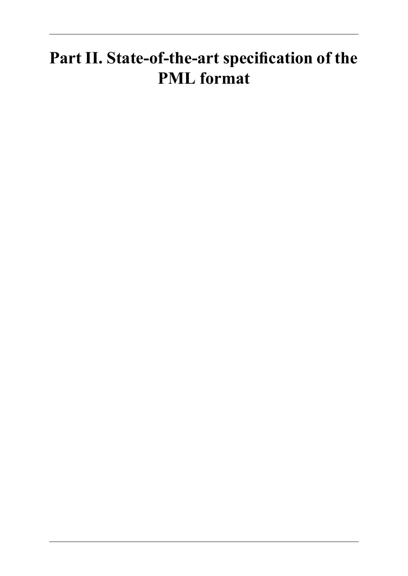## <span id="page-12-0"></span>**Part II. State-of-the-art specification of the PML format**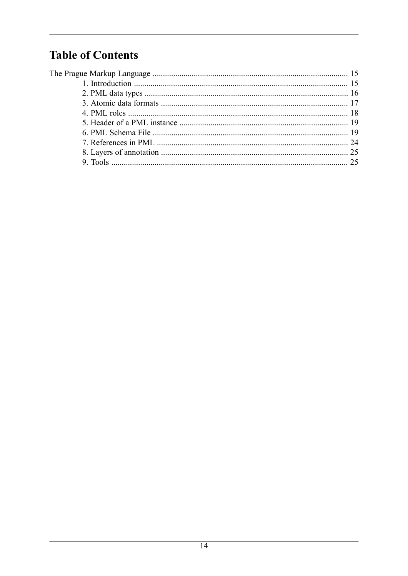## **Table of Contents**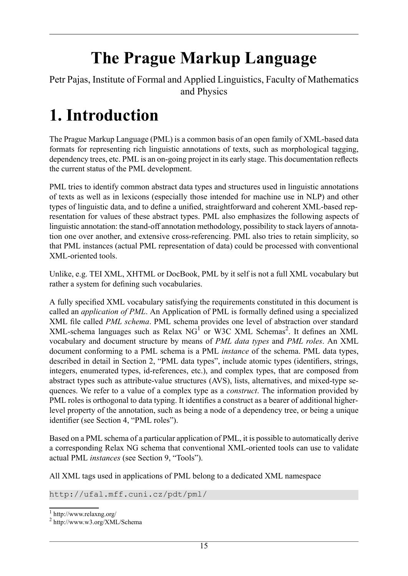# **The Prague Markup Language**

<span id="page-14-1"></span><span id="page-14-0"></span>Petr Pajas, Institute of Formal and Applied Linguistics, Faculty of Mathematics and Physics

# **1. Introduction**

The Prague Markup Language (PML) is a common basis of an open family of XML-based data formats for representing rich linguistic annotations of texts, such as morphological tagging, dependency trees, etc. PML is an on-going project in its early stage. This documentation reflects the current status of the PML development.

PML tries to identify common abstract data types and structures used in linguistic annotations of texts as well as in lexicons (especially those intended for machine use in NLP) and other types of linguistic data, and to define a unified, straightforward and coherent XML-based representation for values of these abstract types. PML also emphasizes the following aspects of linguistic annotation: the stand-off annotation methodology, possibility to stack layers of annotation one over another, and extensive cross-referencing. PML also tries to retain simplicity, so that PML instances (actual PML representation of data) could be processed with conventional XML-oriented tools.

Unlike, e.g. TEI XML, XHTML or DocBook, PML by it self is not a full XML vocabulary but rather a system for defining such vocabularies.

A fully specified XML vocabulary satisfying the requirements constituted in this document is called an *application of PML*. An Application of PML is formally defined using a specialized XML file called *PML schema*. PML schema provides one level of abstraction over standard XML-schema languages such as Relax  $NG<sup>1</sup>$  or [W3C XML Schemas](http://www.w3.org/XML/Schema)<sup>2</sup>. It defines an XML vocabulary and document structure by means of *PML data types* and *PML roles*. An XML document conforming to a PML schema is a PML *instance* of the schema. PML data types, described in detail in [Section 2, "PML data types"](#page-15-0), include atomic types (identifiers, strings, integers, enumerated types, id-references, etc.), and complex types, that are composed from abstract types such as attribute-value structures (AVS), lists, alternatives, and mixed-type sequences. We refer to a value of a complex type as a *construct*. The information provided by PML roles is orthogonal to data typing. It identifies a construct as a bearer of additional higherlevel property of the annotation, such as being a node of a dependency tree, or being a unique identifier (see [Section 4, "PML roles"](#page-17-0)).

Based on a PML schema of a particular application of PML, it is possible to automatically derive a corresponding Relax NG schema that conventional XML-oriented tools can use to validate actual PML *instances* (see [Section 9, "Tools"](#page-24-1)).

All XML tags used in applications of PML belong to a dedicated XML namespace

http://ufal.mff.cuni.cz/pdt/pml/

<sup>1</sup> http://www.relaxng.org/

<sup>2</sup> http://www.w3.org/XML/Schema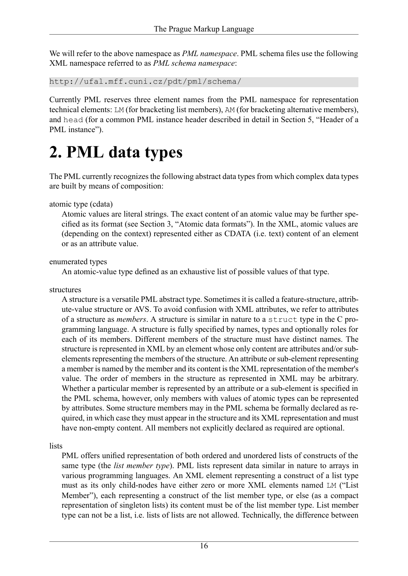We will refer to the above namespace as *PML namespace*. PML schema files use the following XML namespace referred to as *PML schema namespace*:

http://ufal.mff.cuni.cz/pdt/pml/schema/

Currently PML reserves three element names from the PML namespace for representation technical elements: LM (for bracketing list members), AM (for bracketing alternative members), and head (for a common PML instance header described in detail in [Section 5, "Header of a](#page-18-0) [PML instance"](#page-18-0)).

## <span id="page-15-0"></span>**2. PML data types**

The PML currently recognizes the following abstract data types from which complex data types are built by means of composition:

#### atomic type (cdata)

Atomic values are literal strings. The exact content of an atomic value may be further specified as its format (see [Section 3, "Atomic data formats"\)](#page-16-0). In the XML, atomic values are (depending on the context) represented either as CDATA (i.e. text) content of an element or as an attribute value.

#### enumerated types

An atomic-value type defined as an exhaustive list of possible values of that type.

structures

A structure is a versatile PML abstract type. Sometimes it is called a feature-structure, attribute-value structure or AVS. To avoid confusion with XML attributes, we refer to attributes of a structure as *members*. A structure is similar in nature to a struct type in the C programming language. A structure is fully specified by names, types and optionally roles for each of its members. Different members of the structure must have distinct names. The structure is represented in XML by an element whose only content are attributes and/or subelements representing the members of the structure. An attribute or sub-element representing a member is named by the member and its content is the XML representation of the member's value. The order of members in the structure as represented in XML may be arbitrary. Whether a particular member is represented by an attribute or a sub-element is specified in the PML schema, however, only members with values of atomic types can be represented by attributes. Some structure members may in the PML schema be formally declared as required, in which case they must appear in the structure and its XML representation and must have non-empty content. All members not explicitly declared as required are optional.

lists

PML offers unified representation of both ordered and unordered lists of constructs of the same type (the *list member type*). PML lists represent data similar in nature to arrays in various programming languages. An XML element representing a construct of a list type must as its only child-nodes have either zero or more XML elements named LM ("List Member"), each representing a construct of the list member type, or else (as a compact representation of singleton lists) its content must be of the list member type. List member type can not be a list, i.e. lists of lists are not allowed. Technically, the difference between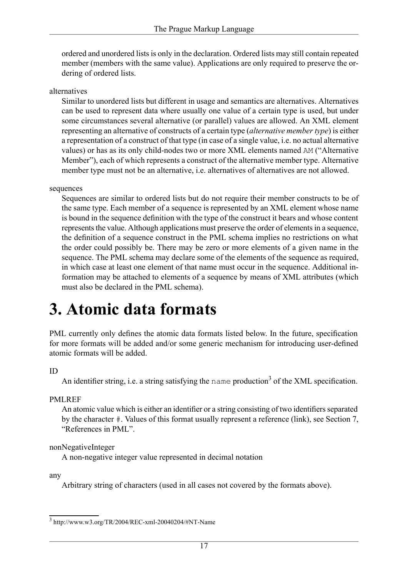ordered and unordered lists is only in the declaration. Ordered lists may still contain repeated member (members with the same value). Applications are only required to preserve the ordering of ordered lists.

alternatives

Similar to unordered lists but different in usage and semantics are alternatives. Alternatives can be used to represent data where usually one value of a certain type is used, but under some circumstances several alternative (or parallel) values are allowed. An XML element representing an alternative of constructs of a certain type (*alternative member type*) is either a representation of a construct of that type (in case of a single value, i.e. no actual alternative values) or has as its only child-nodes two or more XML elements named AM ("Alternative Member"), each of which represents a construct of the alternative member type. Alternative member type must not be an alternative, i.e. alternatives of alternatives are not allowed.

#### sequences

Sequences are similar to ordered lists but do not require their member constructs to be of the same type. Each member of a sequence is represented by an XML element whose name is bound in the sequence definition with the type of the construct it bears and whose content represents the value. Although applications must preserve the order of elements in a sequence, the definition of a sequence construct in the PML schema implies no restrictions on what the order could possibly be. There may be zero or more elements of a given name in the sequence. The PML schema may declare some of the elements of the sequence as required, in which case at least one element of that name must occur in the sequence. Additional information may be attached to elements of a sequence by means of XML attributes (which must also be declared in the PML schema).

## <span id="page-16-0"></span>**3. Atomic data formats**

PML currently only defines the atomic data formats listed below. In the future, specification for more formats will be added and/or some generic mechanism for introducing user-defined atomic formats will be added.

#### ID

An identifier string, i.e. a string satisfying the name [production](http://www.w3.org/TR/2004/REC-xml-20040204/#NT-Name)<sup>3</sup> of the XML specification.

#### PMLREF

An atomic value which is either an identifier or a string consisting of two identifiers separated by the character #. Values of this format usually represent a reference (link), see [Section 7,](#page-23-0) ["References in PML".](#page-23-0)

nonNegativeInteger

A non-negative integer value represented in decimal notation

any

Arbitrary string of characters (used in all cases not covered by the formats above).

<sup>3</sup> http://www.w3.org/TR/2004/REC-xml-20040204/#NT-Name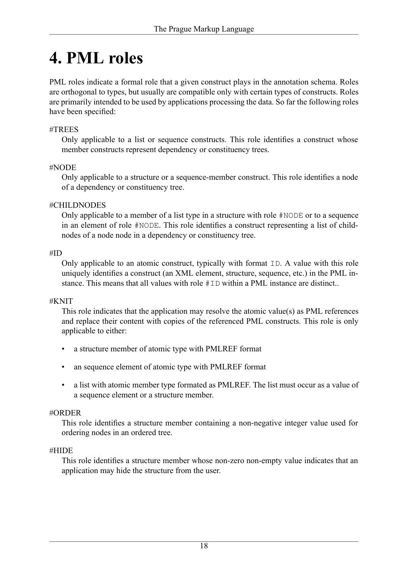## <span id="page-17-0"></span>**4. PML roles**

PML roles indicate a formal role that a given construct plays in the annotation schema. Roles are orthogonal to types, but usually are compatible only with certain types of constructs. Roles are primarily intended to be used by applications processing the data. So far the following roles have been specified:

#### #TREES

Only applicable to a list or sequence constructs. This role identifies a construct whose member constructs represent dependency or constituency trees.

#### #NODE

Only applicable to a structure or a sequence-member construct. This role identifies a node of a dependency or constituency tree.

#### #CHILDNODES

Only applicable to a member of a list type in a structure with role #NODE or to a sequence in an element of role #NODE. This role identifies a construct representing a list of childnodes of a node node in a dependency or constituency tree.

#### #ID

Only applicable to an atomic construct, typically with format ID. A value with this role uniquely identifies a construct (an XML element, structure, sequence, etc.) in the PML instance. This means that all values with role #ID within a PML instance are distinct..

#### #KNIT

This role indicates that the application may resolve the atomic value(s) as PML references and replace their content with copies of the referenced PML constructs. This role is only applicable to either:

- a structure member of atomic type with PMLREF format
- an sequence element of atomic type with PMLREF format
- a list with atomic member type formated as PMLREF. The list must occur as a value of a sequence element or a structure member.

#### #ORDER

This role identifies a structure member containing a non-negative integer value used for ordering nodes in an ordered tree.

#### #HIDE

This role identifies a structure member whose non-zero non-empty value indicates that an application may hide the structure from the user.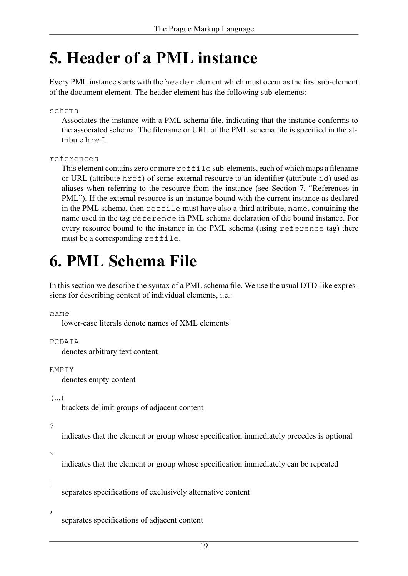## <span id="page-18-0"></span>**5. Header of a PML instance**

Every PML instance starts with the header element which must occur as the first sub-element of the document element. The header element has the following sub-elements:

#### schema

Associates the instance with a PML schema file, indicating that the instance conforms to the associated schema. The filename or URL of the PML schema file is specified in the attribute href.

#### <span id="page-18-2"></span>references

This element contains zero or more reffile sub-elements, each of which maps a filename or URL (attribute href) of some external resource to an identifier (attribute id) used as aliases when referring to the resource from the instance (see [Section 7, "References in](#page-23-0) [PML"\)](#page-23-0). If the external resource is an instance bound with the current instance as declared in the PML schema, then reffile must have also a third attribute, name, containing the name used in the tag [reference](#page-19-0) in PML schema declaration of the bound instance. For every resource bound to the instance in the PML schema (using [reference](#page-19-0) tag) there must be a corresponding reffile.

## <span id="page-18-1"></span>**6. PML Schema File**

In this section we describe the syntax of a PML schema file. We use the usual DTD-like expressions for describing content of individual elements, i.e.:

*name*

lower-case literals denote names of XML elements

PCDATA

denotes arbitrary text content

EMPTY

denotes empty content

 $\left( \ldots \right)$ 

brackets delimit groups of adjacent content

?

indicates that the element or group whose specification immediately precedes is optional

\*

indicates that the element or group whose specification immediately can be repeated

|

separates specifications of exclusively alternative content

,

separates specifications of adjacent content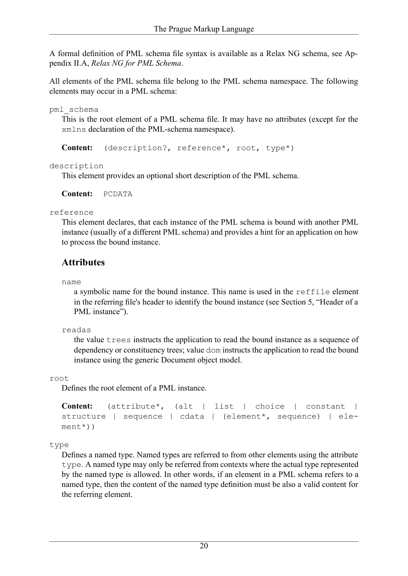A formal definition of PML schema file syntax is available as a Relax NG schema, see [Ap](#page-25-0)pendix II.A, *[Relax NG for PML Schema](#page-25-0)*.

All elements of the PML schema file belong to the PML schema namespace. The following elements may occur in a PML schema:

pml\_schema

This is the root element of a PML schema file. It may have no attributes (except for the xmlns declaration of the PML-schema namespace).

**Content:** ([description?](#page-19-1), [reference](#page-19-0)\*, [root,](#page-19-2) [type\\*](#page-19-3))

<span id="page-19-1"></span>description

This element provides an optional short description of the PML schema.

<span id="page-19-0"></span>**Content:** PCDATA

reference

This element declares, that each instance of the PML schema is bound with another PML instance (usually of a different PML schema) and provides a hint for an application on how to process the bound instance.

### **Attributes**

name

a symbolic name for the bound instance. This name is used in the [reffile](#page-18-2) element in the referring file's header to identify the bound instance (see [Section 5, "Header of a](#page-18-0) [PML instance"](#page-18-0)).

<span id="page-19-2"></span>readas

the value trees instructs the application to read the bound instance as a sequence of dependency or constituency trees; value dom instructs the application to read the bound instance using the generic Document object model.

root

Defines the root element of a PML instance.

```
Content:(attribute*(altlistchoiceconstant |
structure | sequence | cdata | (element*, sequence) | ele-
ment*))
```
type

Defines a named type. Named types are referred to from other elements using the attribute type. A named type may only be referred from contexts where the actual type represented by the named type is allowed. In other words, if an element in a PML schema refers to a named type, then the content of the named type definition must be also a valid content for the referring element.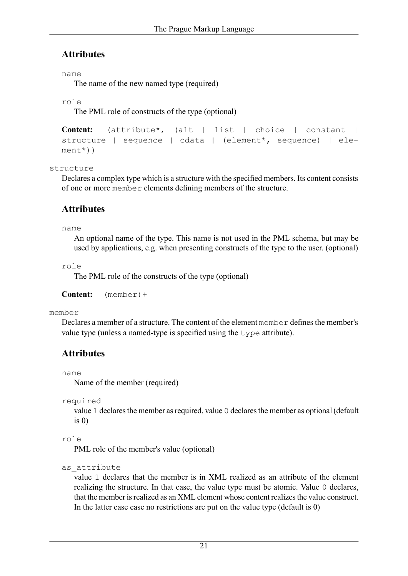### **Attributes**

#### name

The name of the new named type (required)

```
role
```
The PML role of constructs of the type (optional)

```
Content:(attribute*(altlistchoiceconstant |
structure | sequence | cdata | (element*, sequence) | ele-
ment*))
```
<span id="page-20-0"></span>structure

Declares a complex type which is a structure with the specified members. Its content consists of one or more [member](#page-20-1) elements defining members of the structure.

### **Attributes**

#### name

An optional name of the type. This name is not used in the PML schema, but may be used by applications, e.g. when presenting constructs of the type to the user. (optional)

role

The PML role of the constructs of the type (optional)

<span id="page-20-1"></span>**Content:** ([member\)](#page-20-1)+

member

Declares a member of a structure. The content of the element member defines the member's value type (unless a named-type is specified using the type attribute).

### **Attributes**

name

Name of the member (required)

```
required
```
value 1 declares the member as required, value 0 declares the member as optional (default is  $\theta$ )

```
role
```
PML role of the member's value (optional)

```
as attribute
```
value 1 declares that the member is in XML realized as an attribute of the element realizing the structure. In that case, the value type must be atomic. Value 0 declares, that the member is realized as an XML element whose content realizes the value construct. In the latter case case no restrictions are put on the value type (default is 0)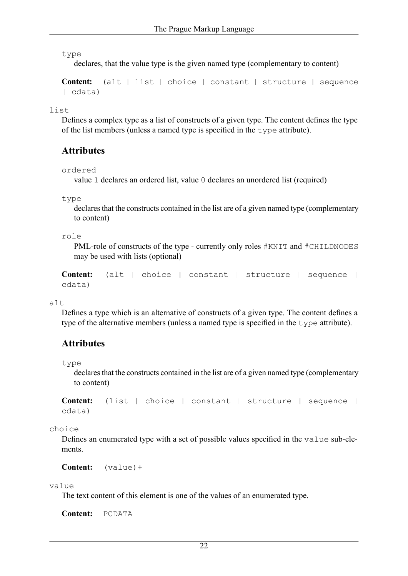type

declares, that the value type is the given named type (complementary to content)

**Content:** ([alt](#page-21-0) | [list](#page-21-1) | [choice](#page-21-2) | [constant](#page-22-0) | [structure](#page-20-0) | [sequence](#page-22-1) | [cdata](#page-22-2))

<span id="page-21-1"></span>list

Defines a complex type as a list of constructs of a given type. The content defines the type of the list members (unless a named type is specified in the type attribute).

#### **Attributes**

```
ordered
```
value 1 declares an ordered list, value 0 declares an unordered list (required)

type

declares that the constructs contained in the list are of a given named type (complementary to content)

role

PML-role of constructs of the type - currently only roles  $#KNIT$  and  $#CHILDNODES$ may be used with lists (optional)

```
Content: (alt | choice | constant | structure | sequence |
cdata)
```
alt

Defines a type which is an alternative of constructs of a given type. The content defines a type of the alternative members (unless a named type is specified in the type attribute).

### **Attributes**

type

declares that the constructs contained in the list are of a given named type (complementary to content)

<span id="page-21-2"></span>**Content:** ([list](#page-21-1) | [choice](#page-21-2) | [constant](#page-22-0) | [structure](#page-20-0) | [sequence](#page-22-1) | [cdata](#page-22-2))

<span id="page-21-3"></span>choice

Defines an enumerated type with a set of possible values specified in the value sub-elements.

**Content:** ([value\)](#page-21-3)+

#### value

The text content of this element is one of the values of an enumerated type.

**Content:** PCDATA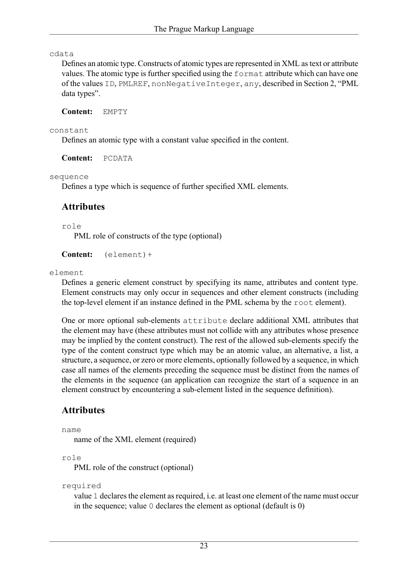#### <span id="page-22-2"></span>cdata

Defines an atomic type. Constructs of atomic types are represented in XML as text or attribute values. The atomic type is further specified using the format attribute which can have one of the values ID, PMLREF, nonNegativeInteger, any, described in [Section 2, "PML](#page-15-0) [data types".](#page-15-0)

**Content:** EMPTY

#### <span id="page-22-0"></span>constant

Defines an atomic type with a constant value specified in the content.

<span id="page-22-1"></span>**Content:** PCDATA

sequence

Defines a type which is sequence of further specified XML elements.

#### **Attributes**

role

PML role of constructs of the type (optional)

<span id="page-22-3"></span>**Content:** ([element\)](#page-22-3)+

element

Defines a generic element construct by specifying its name, attributes and content type. Element constructs may only occur in sequences and other element constructs (including the top-level element if an instance defined in the PML schema by the root element).

One or more optional sub-elements attribute declare additional XML attributes that the element may have (these attributes must not collide with any attributes whose presence may be implied by the content construct). The rest of the allowed sub-elements specify the type of the content construct type which may be an atomic value, an alternative, a list, a structure, a sequence, or zero or more elements, optionally followed by a sequence, in which case all names of the elements preceding the sequence must be distinct from the names of the elements in the sequence (an application can recognize the start of a sequence in an element construct by encountering a sub-element listed in the sequence definition).

### **Attributes**

name

name of the XML element (required)

role

PML role of the construct (optional)

```
required
```
value 1 declares the element as required, i.e. at least one element of the name must occur in the sequence; value 0 declares the element as optional (default is 0)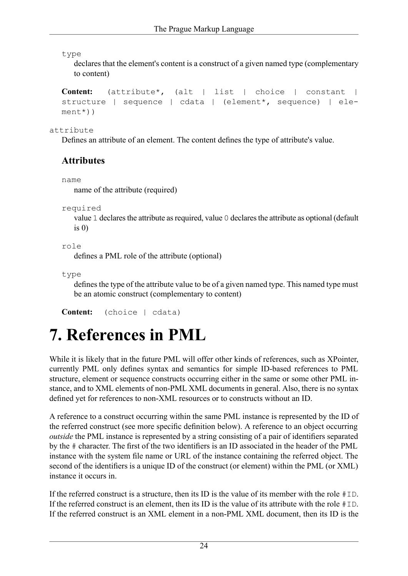type

declares that the element's content is a construct of a given named type (complementary to content)

```
Content: (attribute*, (alt | list | choice | constant |
structure | sequence | cdata | (element*, sequence) | ele-
ment*))
```
<span id="page-23-1"></span>attribute

Defines an attribute of an element. The content defines the type of attribute's value.

### **Attributes**

name

name of the attribute (required)

```
required
```
value 1 declares the attribute as required, value 0 declares the attribute as optional (default is  $0)$ 

```
role
```
defines a PML role of the attribute (optional)

type

defines the type of the attribute value to be of a given named type. This named type must be an atomic construct (complementary to content)

```
Content: (choice | cdata)
```
# **7. References in PML**

While it is likely that in the future PML will offer other kinds of references, such as XPointer, currently PML only defines syntax and semantics for simple ID-based references to PML structure, element or sequence constructs occurring either in the same or some other PML instance, and to XML elements of non-PML XML documents in general. Also, there is no syntax defined yet for references to non-XML resources or to constructs without an ID.

A reference to a construct occurring within the same PML instance is represented by the ID of the referred construct (see more specific definition below). A reference to an object occurring *outside* the PML instance is represented by a string consisting of a pair of identifiers separated by the # character. The first of the two identifiers is an ID associated in the header of the PML instance with the system file name or URL of the instance containing the referred object. The second of the identifiers is a unique ID of the construct (or element) within the PML (or XML) instance it occurs in.

If the referred construct is a structure, then its ID is the value of its member with the role #ID. If the referred construct is an element, then its ID is the value of its attribute with the role  $\# \text{ID}$ . If the referred construct is an XML element in a non-PML XML document, then its ID is the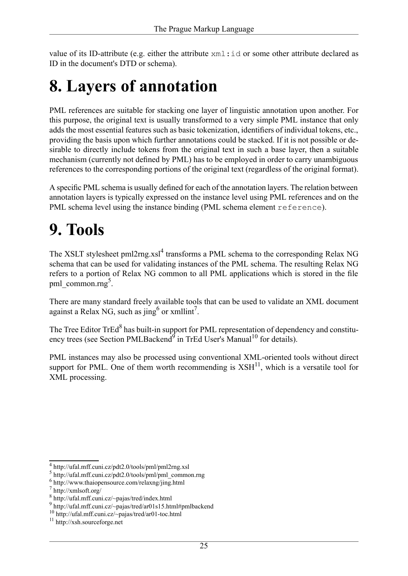<span id="page-24-0"></span>value of its ID-attribute (e.g. either the attribute xml:id or some other attribute declared as ID in the document's DTD or schema).

# **8. Layers of annotation**

PML references are suitable for stacking one layer of linguistic annotation upon another. For this purpose, the original text is usually transformed to a very simple PML instance that only adds the most essential features such as basic tokenization, identifiers of individual tokens, etc., providing the basis upon which further annotations could be stacked. If it is not possible or desirable to directly include tokens from the original text in such a base layer, then a suitable mechanism (currently not defined by PML) has to be employed in order to carry unambiguous references to the corresponding portions of the original text (regardless of the original format).

<span id="page-24-1"></span>A specific PML schema is usually defined for each of the annotation layers. The relation between annotation layers is typically expressed on the instance level using PML references and on the PML schema level using the instance binding (PML schema element [reference](#page-18-2)).

## **9. Tools**

The XSLT stylesheet [pml2rng.xsl](http://ufal.mff.cuni.cz/pdt2.0/tools/pml/pml2rng.xsl)<sup>4</sup> transforms a PML schema to the corresponding Relax NG schema that can be used for validating instances of the PML schema. The resulting Relax NG refers to a portion of Relax NG common to all PML applications which is stored in the file [pml\\_common.rng](http://ufal.mff.cuni.cz/pdt2.0/tools/pml/pml_common.rng)<sup>5</sup>.

There are many standard freely available tools that can be used to validate an XML document against a Relax NG, such as [jing](http://www.thaiopensource.com/relaxng/jing.html)<sup>6</sup> or [xmllint](http://xmlsoft.org/)<sup>7</sup>.

The [Tree Editor TrEd](http://ufal.mff.cuni.cz/~pajas/tred/index.html)<sup>8</sup> has built-in support for PML representation of dependency and constitu-ency trees (see Section [PMLBackend](http://ufal.mff.cuni.cz/~pajas/tred/ar01s15.html#pmlbackend)<sup>9</sup> in [TrEd User's Manual](http://ufal.mff.cuni.cz/~pajas/tred/ar01-toc.html)<sup>10</sup> for details).

PML instances may also be processed using conventional XML-oriented tools without direct support for PML. One of them worth recommending is  $XSH<sup>11</sup>$  $XSH<sup>11</sup>$ , which is a versatile tool for XML processing.

<sup>4</sup> http://ufal.mff.cuni.cz/pdt2.0/tools/pml/pml2rng.xsl

<sup>5</sup> http://ufal.mff.cuni.cz/pdt2.0/tools/pml/pml\_common.rng

<sup>6</sup> http://www.thaiopensource.com/relaxng/jing.html

<sup>7</sup> http://xmlsoft.org/

<sup>8</sup> http://ufal.mff.cuni.cz/~pajas/tred/index.html

<sup>9</sup> http://ufal.mff.cuni.cz/~pajas/tred/ar01s15.html#pmlbackend

<sup>10</sup> http://ufal.mff.cuni.cz/~pajas/tred/ar01-toc.html

<sup>11</sup> http://xsh.sourceforge.net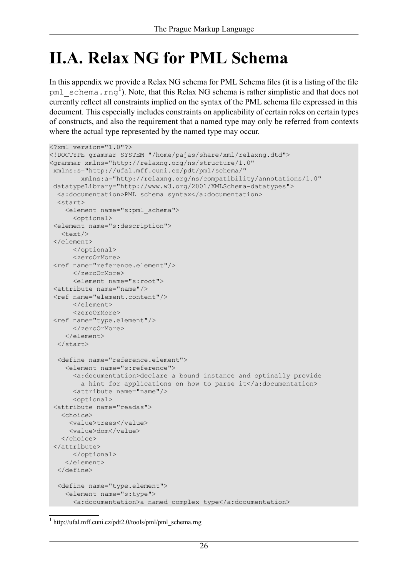## <span id="page-25-0"></span>**II.A. Relax NG for PML Schema**

In this appendix we provide a Relax NG schema for PML Schema files (it is a listing of the file  $pml$  schema.rng<sup>1</sup>). Note, that this Relax NG schema is rather simplistic and that does not currently reflect all constraints implied on the syntax of the PML schema file expressed in this document. This especially includes constraints on applicability of certain roles on certain types of constructs, and also the requirement that a named type may only be referred from contexts where the actual type represented by the named type may occur.

```
<?xml version="1.0"?>
<!DOCTYPE grammar SYSTEM "/home/pajas/share/xml/relaxng.dtd">
<grammar xmlns="http://relaxng.org/ns/structure/1.0" 
xmlns:s="http://ufal.mff.cuni.cz/pdt/pml/schema/" 
        xmlns:a="http://relaxng.org/ns/compatibility/annotations/1.0"
datatypeLibrary="http://www.w3.org/2001/XMLSchema-datatypes">
 <a:documentation>PML schema syntax</a:documentation>
 \langlestart\rangle<element name="s:pml_schema">
      <optional>
<element name="s:description">
   <text/>
</element>
      </optional>
      <zeroOrMore>
<ref name="reference.element"/>
      </zeroOrMore>
      <element name="s:root">
<attribute name="name"/>
<ref name="element.content"/>
      </element> 
      <zeroOrMore>
<ref name="type.element"/>
      </zeroOrMore>
    </element>
  \langle/start\rangle<define name="reference.element">
    <element name="s:reference">
      <a:documentation>declare a bound instance and optinally provide
        a hint for applications on how to parse it</a:documentation>
      <attribute name="name"/>
      <optional>
<attribute name="readas">
   <choice>
    <value>trees</value>
     <value>dom</value>
   </choice> 
</attribute>
     </optional>
    </element>
  </define>
  <define name="type.element">
    <element name="s:type">
      <a:documentation>a named complex type</a:documentation>
```
<sup>1</sup> http://ufal.mff.cuni.cz/pdt2.0/tools/pml/pml\_schema.rng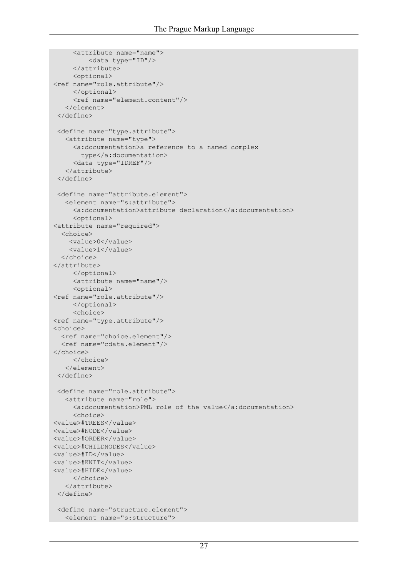```
<attribute name="name">
         <data type="ID"/>
     </attribute>
     <optional>
<ref name="role.attribute"/>
     </optional>
     <ref name="element.content"/>
   </element>
 </define>
<define name="type.attribute">
  <attribute name="type">
    <a:documentation>a reference to a named complex
      type</a:documentation>
     <data type="IDREF"/>
   </attribute>
 </define>
 <define name="attribute.element">
   <element name="s:attribute">
    <a:documentation>attribute declaration</a:documentation>
     <optional>
<attribute name="required">
  <choice>
    <value>0</value>
    <value>1</value>
  </choice>
</attribute>
    </optional>
     <attribute name="name"/>
    <optional>
<ref name="role.attribute"/>
    </optional>
     <choice>
<ref name="type.attribute"/>
<choice>
  <ref name="choice.element"/>
  <ref name="cdata.element"/>
</choice>
     </choice>
   </element>
</define>
 <define name="role.attribute">
   <attribute name="role">
    <a:documentation>PML role of the value</a:documentation>
     <choice>
<value>#TREES</value>
<value>#NODE</value>
<value>#ORDER</value>
<value>#CHILDNODES</value>
<value>#ID</value>
<value>#KNIT</value>
<value>#HIDE</value>
    </choice>
   </attribute>
</define>
<define name="structure.element">
   <element name="s:structure">
```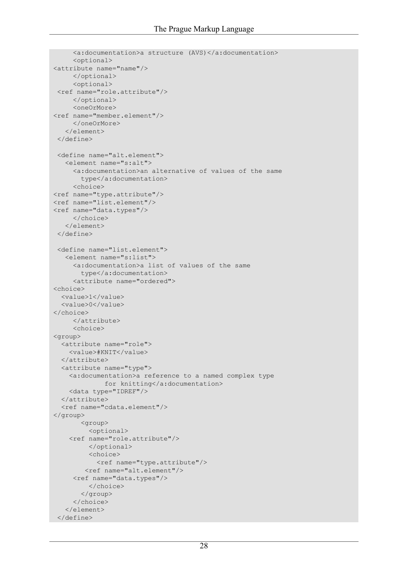```
<a:documentation>a structure (AVS)</a:documentation>
     <optional>
<attribute name="name"/>
     </optional>
     <optional> 
 <ref name="role.attribute"/>
    </optional>
     <oneOrMore>
<ref name="member.element"/>
     </oneOrMore>
   </element>
</define>
<define name="alt.element">
   <element name="s:alt">
     <a:documentation>an alternative of values of the same
       type</a:documentation>
     <choice>
<ref name="type.attribute"/>
<ref name="list.element"/>
<ref name="data.types"/>
     </choice>
   </element>
</define>
<define name="list.element">
   <element name="s:list">
     <a:documentation>a list of values of the same
       type</a:documentation>
     <attribute name="ordered">
<choice>
  <value>1</value>
  <value>0</value>
</choice>
    </attribute>
    <choice>
<group>
  <attribute name="role">
    <value>#KNIT</value>
  </attribute>
  <attribute name="type">
    <a:documentation>a reference to a named complex type
            for knitting</a:documentation>
    <data type="IDREF"/>
  </attribute>
  <ref name="cdata.element"/>
</group>
       <group>
         <optional>
    <ref name="role.attribute"/>
         </optional>
         <choice>
           <ref name="type.attribute"/>
        <ref name="alt.element"/>
     <ref name="data.types"/>
         </choice>
       </group>
     </choice>
   </element>
 </define>
```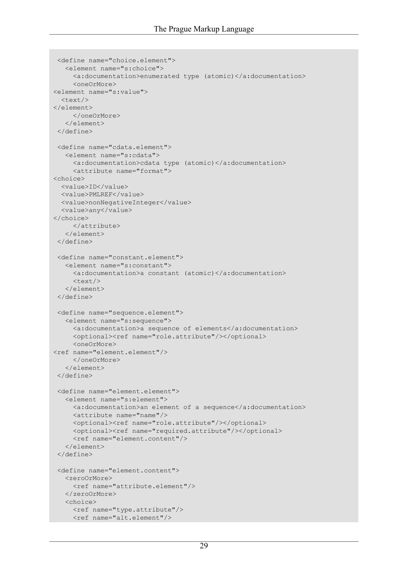```
<define name="choice.element">
  <element name="s:choice">
     <a:documentation>enumerated type (atomic)</a:documentation>
     <oneOrMore>
<element name="s:value">
  \text{text/}</element>
    </oneOrMore>
   </element>
</define>
<define name="cdata.element">
   <element name="s:cdata">
    <a:documentation>cdata type (atomic)</a:documentation>
    <attribute name="format">
<choice>
  <value>ID</value>
  <value>PMLREF</value>
  <value>nonNegativeInteger</value>
  <value>any</value>
</choice>
     </attribute>
   </element>
 </define>
 <define name="constant.element">
   <element name="s:constant">
     <a:documentation>a constant (atomic)</a:documentation>
     \text{text/}</element>
 </define>
 <define name="sequence.element">
   <element name="s:sequence">
     <a:documentation>a sequence of elements</a:documentation>
     <optional><ref name="role.attribute"/></optional>
     <oneOrMore>
<ref name="element.element"/>
     </oneOrMore>
   </element>
</define>
 <define name="element.element">
   <element name="s:element">
    <a:documentation>an element of a sequence</a:documentation>
    <attribute name="name"/>
    <optional><ref name="role.attribute"/></optional>
     <optional><ref name="required.attribute"/></optional>
     <ref name="element.content"/>
   </element>
 </define>
 <define name="element.content">
   <zeroOrMore>
     <ref name="attribute.element"/>
   </zeroOrMore> 
   <choice>
    <ref name="type.attribute"/>
     <ref name="alt.element"/>
```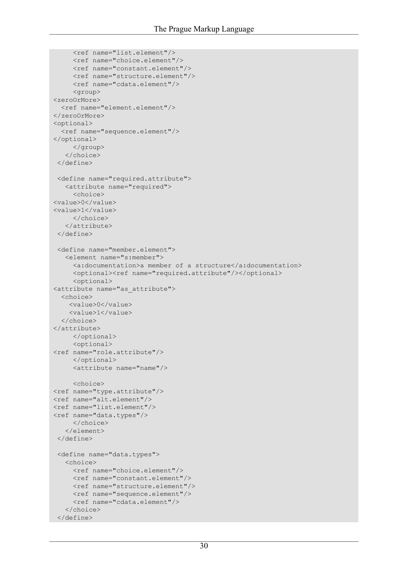```
<ref name="list.element"/>
    <ref name="choice.element"/>
     <ref name="constant.element"/>
     <ref name="structure.element"/>
     <ref name="cdata.element"/>
    <group>
<zeroOrMore>
  <ref name="element.element"/>
</zeroOrMore>
<optional>
  <ref name="sequence.element"/>
</optional>
     </group>
   </choice>
</define>
 <define name="required.attribute">
   <attribute name="required">
    <choice>
<value>0</value>
<value>1</value>
     </choice>
   </attribute>
</define>
<define name="member.element">
   <element name="s:member">
     <a:documentation>a member of a structure</a:documentation>
    <optional><ref name="required.attribute"/></optional>
    <optional>
<attribute name="as_attribute">
  <choice>
    <value>0</value>
    <value>1</value>
  </choice>
</attribute>
     </optional>
     <optional>
<ref name="role.attribute"/>
     </optional>
     <attribute name="name"/>
     <choice>
<ref name="type.attribute"/>
<ref name="alt.element"/>
<ref name="list.element"/>
<ref name="data.types"/>
    </choice>
   </element>
</define>
 <define name="data.types">
  <choice>
    <ref name="choice.element"/>
    <ref name="constant.element"/>
    <ref name="structure.element"/>
    <ref name="sequence.element"/>
    <ref name="cdata.element"/>
   </choice>
 </define>
```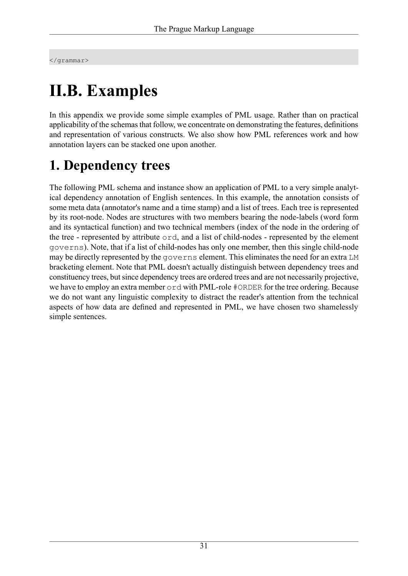</grammar>

# **II.B. Examples**

In this appendix we provide some simple examples of PML usage. Rather than on practical applicability of the schemas that follow, we concentrate on demonstrating the features, definitions and representation of various constructs. We also show how PML references work and how annotation layers can be stacked one upon another.

## **1. Dependency trees**

The following PML schema and instance show an application of PML to a very simple analytical dependency annotation of English sentences. In this example, the annotation consists of some meta data (annotator's name and a time stamp) and a list of trees. Each tree is represented by its root-node. Nodes are structures with two members bearing the node-labels (word form and its syntactical function) and two technical members (index of the node in the ordering of the tree - represented by attribute ord, and a list of child-nodes - represented by the element governs). Note, that if a list of child-nodes has only one member, then this single child-node may be directly represented by the governs element. This eliminates the need for an extra LM bracketing element. Note that PML doesn't actually distinguish between dependency trees and constituency trees, but since dependency trees are ordered trees and are not necessarily projective, we have to employ an extra member ord with PML-role #ORDER for the tree ordering. Because we do not want any linguistic complexity to distract the reader's attention from the technical aspects of how data are defined and represented in PML, we have chosen two shamelessly simple sentences.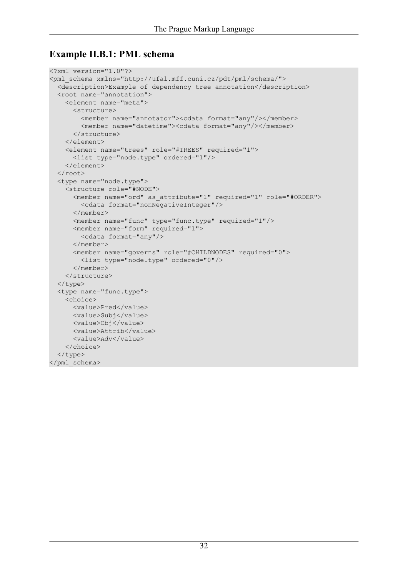### **Example II.B.1: PML schema**

```
<?xml version="1.0"?>
<pml_schema xmlns="http://ufal.mff.cuni.cz/pdt/pml/schema/">
 <description>Example of dependency tree annotation</description>
 <root name="annotation">
    <element name="meta">
      <structure>
        <member name="annotator"><cdata format="any"/></member>
        <member name="datetime"><cdata format="any"/></member>
      </structure>
    </element>
    <element name="trees" role="#TREES" required="1">
      <list type="node.type" ordered="1"/>
    </element>
  </root>
  <type name="node.type">
    <structure role="#NODE">
     <member name="ord" as_attribute="1" required="1" role="#ORDER">
        <cdata format="nonNegativeInteger"/>
     </member>
      <member name="func" type="func.type" required="1"/>
     <member name="form" required="1">
       <cdata format="any"/>
      </member>
      <member name="governs" role="#CHILDNODES" required="0">
       <list type="node.type" ordered="0"/>
      </member>
    </structure>
  </type>
  <type name="func.type">
    <choice>
     <value>Pred</value>
     <value>Subj</value>
     <value>Obj</value>
     <value>Attrib</value>
      <value>Adv</value>
    </choice>
  </type>
</pml_schema>
```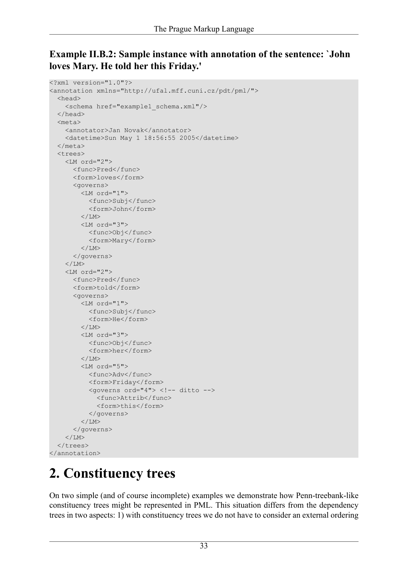### **Example II.B.2: Sample instance with annotation of the sentence: `John loves Mary. He told her this Friday.'**

```
<?xml version="1.0"?>
<annotation xmlns="http://ufal.mff.cuni.cz/pdt/pml/">
  <head>
    <schema href="example1_schema.xml"/>
  </head>
  <meta>
    <annotator>Jan Novak</annotator>
    <datetime>Sun May 1 18:56:55 2005</datetime>
  </meta>
  <trees>
    <LM ord="2">
      <func>Pred</func>
      <form>loves</form>
      <governs>
        <LM ord="1">
           <func>Subj</func>
           <form>John</form>
        \langle/LM\rangle<LM ord="3">
           <func>Obj</func>
           <form>Mary</form>
        \langle/LM\rangle</governs>
    \langle/LM\rangle<LM ord="2">
      <func>Pred</func>
      <form>told</form>
      <governs>
         <LM ord="1">
           <func>Subj</func>
           <form>He</form>
         \langle/LM\rangle<LM ord="3">
           <func>Obj</func>
           <form>her</form>
         \langle/LM\rangle<LM ord="5">
           <func>Adv</func>
           <form>Friday</form>
           <governs ord="4"> <!-- ditto -->
             <func>Attrib</func>
             <form>this</form> 
           </governs>
        \langle/LM></governs>
    \langle/LM\rangle</trees>
</annotation>
```
## <span id="page-32-0"></span>**2. Constituency trees**

On two simple (and of course incomplete) examples we demonstrate how Penn-treebank-like constituency trees might be represented in PML. This situation differs from the dependency trees in two aspects: 1) with constituency trees we do not have to consider an external ordering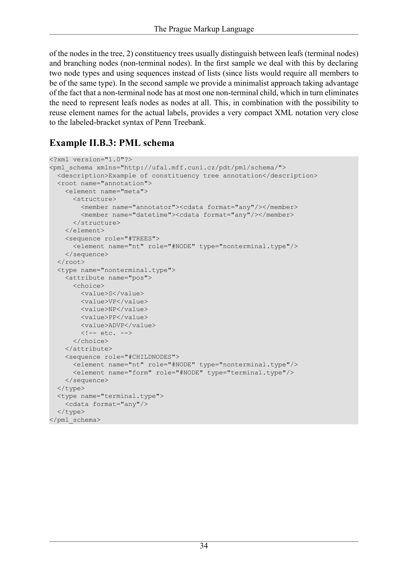of the nodes in the tree, 2) constituency trees usually distinguish between leafs (terminal nodes) and branching nodes (non-terminal nodes). In the first sample we deal with this by declaring two node types and using sequences instead of lists (since lists would require all members to be of the same type). In the second sample we provide a minimalist approach taking advantage of the fact that a non-terminal node has at most one non-terminal child, which in turn eliminates the need to represent leafs nodes as nodes at all. This, in combination with the possibility to reuse element names for the actual labels, provides a very compact XML notation very close to the labeled-bracket syntax of Penn Treebank.

### **Example II.B.3: PML schema**

```
<?xml version="1.0"?>
<pml_schema xmlns="http://ufal.mff.cuni.cz/pdt/pml/schema/">
 <description>Example of constituency tree annotation</description>
 <root name="annotation">
    <element name="meta">
      <structure>
        <member name="annotator"><cdata format="any"/></member>
        <member name="datetime"><cdata format="any"/></member>
      </structure>
    </element>
   <sequence role="#TREES">
      <element name="nt" role="#NODE" type="nonterminal.type"/>
    </sequence>
  \langle root>
  <type name="nonterminal.type">
    <attribute name="pos">
     <choice>
       <value>S</value>
       <value>VP</value>
       <value>NP</value>
       <value>PP</value>
       <value>ADVP</value>
       \langle !-- etc. -->
      </choice>
    </attribute>
    <sequence role="#CHILDNODES">
      <element name="nt" role="#NODE" type="nonterminal.type"/>
      <element name="form" role="#NODE" type="terminal.type"/>
    </sequence>
  </type>
  <type name="terminal.type">
    <cdata format="any"/>
  </type>
</pml_schema>
```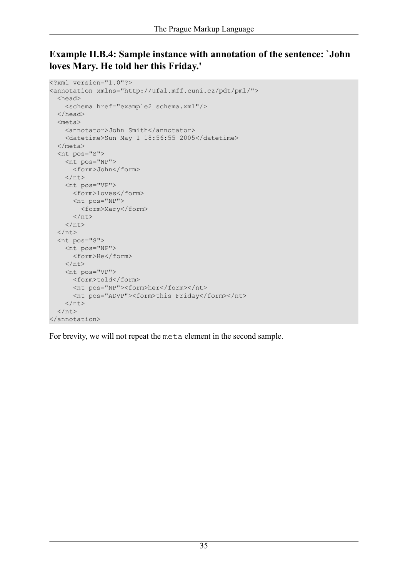### **Example II.B.4: Sample instance with annotation of the sentence: `John loves Mary. He told her this Friday.'**

```
<?xml version="1.0"?>
<annotation xmlns="http://ufal.mff.cuni.cz/pdt/pml/">
  <head>
    <schema href="example2_schema.xml"/>
  </head>
  <meta>
    <annotator>John Smith</annotator>
    <datetime>Sun May 1 18:56:55 2005</datetime>
  </meta>
  <nt pos="S">
    <nt pos="NP">
      <form>John</form>
    \langle/nt>
    <nt pos="VP">
      <form>loves</form>
      <nt pos="NP">
        <form>Mary</form>
      \langlent>
    \langle/nt>
  \langle/nt>
  <nt pos="S">
    <nt pos="NP">
      <form>He</form>
    \langle/nt>
    <nt pos="VP">
      <form>told</form>
      <nt pos="NP"><form>her</form></nt>
      <nt pos="ADVP"><form>this Friday</form></nt>
    \langle/nt>
  \langle/nt>
</annotation>
```
For brevity, we will not repeat the meta element in the second sample.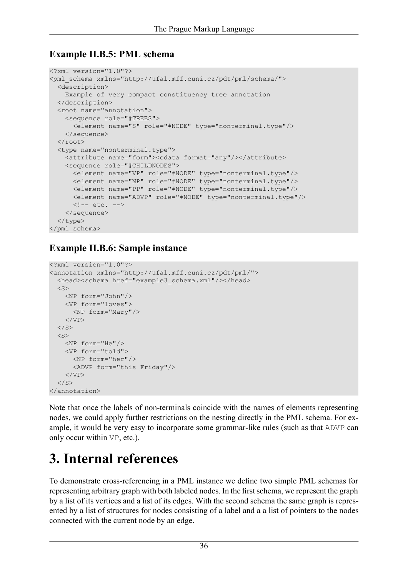### **Example II.B.5: PML schema**

```
<?xml version="1.0"?>
<pml_schema xmlns="http://ufal.mff.cuni.cz/pdt/pml/schema/">
 <description>
   Example of very compact constituency tree annotation
 </description>
  <root name="annotation">
   <sequence role="#TREES">
      <element name="S" role="#NODE" type="nonterminal.type"/>
    </sequence>
  \langleroot>
  <type name="nonterminal.type">
    <attribute name="form"><cdata format="any"/></attribute>
    <sequence role="#CHILDNODES">
     <element name="VP" role="#NODE" type="nonterminal.type"/>
     <element name="NP" role="#NODE" type="nonterminal.type"/>
     <element name="PP" role="#NODE" type="nonterminal.type"/>
     <element name="ADVP" role="#NODE" type="nonterminal.type"/>
     \langle!-- etc. -->
    </sequence>
  </type>
</pml_schema>
```
## **Example II.B.6: Sample instance**

```
<?xml version="1.0"?>
<annotation xmlns="http://ufal.mff.cuni.cz/pdt/pml/">
  <head><schema href="example3 schema.xml"/></head>
  \langleS>
    <NP form="John"/>
    <VP form="loves">
      <NP form="Mary"/>
    \langle/VP>\langle/S>
  \langle S \rangle<NP form="He"/>
    <VP form="told">
      <NP form="her"/>
      <ADVP form="this Friday"/>
    \langle/VP>\langle/S>
</annotation>
```
Note that once the labels of non-terminals coincide with the names of elements representing nodes, we could apply further restrictions on the nesting directly in the PML schema. For example, it would be very easy to incorporate some grammar-like rules (such as that ADVP can only occur within VP, etc.).

## **3. Internal references**

To demonstrate cross-referencing in a PML instance we define two simple PML schemas for representing arbitrary graph with both labeled nodes. In the first schema, we represent the graph by a list of its vertices and a list of its edges. With the second schema the same graph is represented by a list of structures for nodes consisting of a label and a a list of pointers to the nodes connected with the current node by an edge.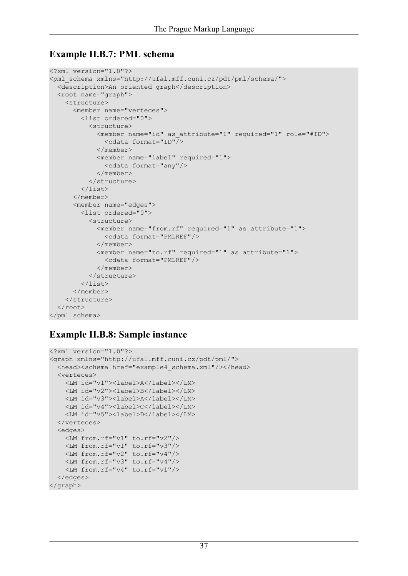### **Example II.B.7: PML schema**

```
<?xml version="1.0"?>
<pml_schema xmlns="http://ufal.mff.cuni.cz/pdt/pml/schema/">
 <description>An oriented graph</description>
 <root name="graph">
    <structure>
      <member name="verteces">
        <list ordered="0">
          <structure>
            <member name="id" as_attribute="1" required="1" role="#ID">
              <cdata format="ID"/>
            </member>
            <member name="label" required="1">
              <cdata format="any"/>
            </member>
          </structure>
        \langle/list>
      </member>
      <member name="edges">
        <list ordered="0">
          <structure>
            <member name="from.rf" required="1" as_attribute="1">
              <cdata format="PMLREF"/>
            </member>
            <member name="to.rf" required="1" as_attribute="1">
              <cdata format="PMLREF"/>
            \langle/member>
          </structure>
        \langlelist>
      </member>
    </structure> 
  </root>
</pml_schema>
```
### **Example II.B.8: Sample instance**

```
<?xml version="1.0"?>
<graph xmlns="http://ufal.mff.cuni.cz/pdt/pml/">
 <head><schema href="example4 schema.xml"/></head>
 <verteces>
    <LM id="v1"><label>A</label></LM>
    <LM id="v2"><label>B</label></LM>
    <LM id="v3"><label>A</label></LM>
   <LM id="v4"><label>C</label></LM>
    <LM id="v5"><label>D</label></LM>
  </verteces>
  <edges>
   <LM from.rf="v1" to.rf="v2"/>
   <LM from.rf="v1" to.rf="v3"/>
   <LM from.rf="v2" to.rf="v4"/>
   <LM from.rf="v3" to.rf="v4"/>
   <LM from.rf="v4" to.rf="v1"/>
 </edges>
</graph>
```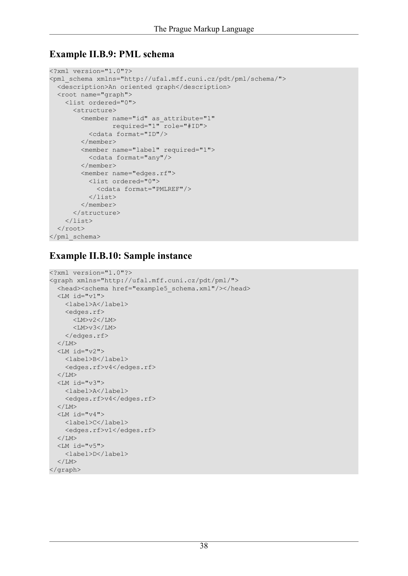### **Example II.B.9: PML schema**

```
<?xml version="1.0"?>
<pml_schema xmlns="http://ufal.mff.cuni.cz/pdt/pml/schema/">
  <description>An oriented graph</description>
  <root name="graph">
    <list ordered="0">
      <structure>
        <member name="id" as_attribute="1" 
                required="1" role="#ID">
          <cdata format="ID"/>
        </member>
        <member name="label" required="1">
          <cdata format="any"/>
        </member>
        <member name="edges.rf">
          <list ordered="0">
            <cdata format="PMLREF"/>
          \langle/list>
        </member>
      </structure>
    \langle/list>
  \langleroot>
</pml_schema>
```
### **Example II.B.10: Sample instance**

```
<?xml version="1.0"?>
<graph xmlns="http://ufal.mff.cuni.cz/pdt/pml/">
  <head><schema href="example5 schema.xml"/></head>
  <LM id="v1">
    <label>A</label>
    <edges.rf>
      <LM>v2</LM><LM>v3</LM></edges.rf>
  \langle/LM><LM id="v2">
    <label>B</label>
    <edges.rf>v4</edges.rf>
  \langle/LM\rangle<LM id="v3">
    <label>A</label>
    <edges.rf>v4</edges.rf>
  \langle/LM><LM id="v4">
    <label>C</label>
    <edges.rf>v1</edges.rf>
  \langle/LM><LM id="v5">
    <label>D</label>
  \langle/LM\rangle</graph>
```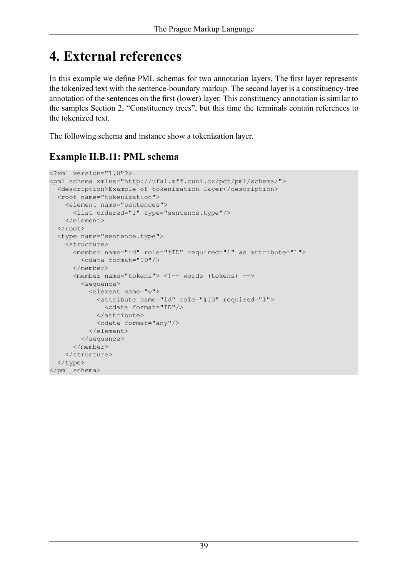## **4. External references**

In this example we define PML schemas for two annotation layers. The first layer represents the tokenized text with the sentence-boundary markup. The second layer is a constituency-tree annotation of the sentences on the first (lower) layer. This constituency annotation is similar to the samples [Section 2, "Constituency trees",](#page-32-0) but this time the terminals contain references to the tokenized text.

The following schema and instance show a tokenization layer.

## **Example II.B.11: PML schema**

```
<?xml version="1.0"?>
<pml_schema xmlns="http://ufal.mff.cuni.cz/pdt/pml/schema/">
 <description>Example of tokenization layer</description>
 <root name="tokenization">
    <element name="sentences">
      <list ordered="1" type="sentence.type"/>
    </element>
  \langleroot\rangle<type name="sentence.type">
    <structure>
     <member name="id" role="#ID" required="1" as_attribute="1">
        <cdata format="ID"/>
     \langle/member>
      <member name="tokens"> <!-- words (tokens) -->
        <sequence>
          <element name="w">
            <attribute name="id" role="#ID" required="1">
              <cdata format="ID"/>
            </attribute>
            <cdata format="any"/>
          </element>
        </sequence>
      </member>
    </structure>
  </type>
</pml_schema>
```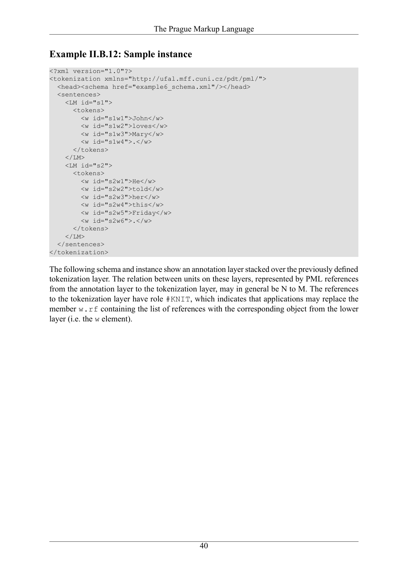### **Example II.B.12: Sample instance**

```
<?xml version="1.0"?>
<tokenization xmlns="http://ufal.mff.cuni.cz/pdt/pml/">
  <head><schema href="example6 schema.xml"/></head>
  <sentences>
     \langle LM \text{ id} = "s1" \rangle<tokens>
          \langle w \text{ id} = "slw1" \rangleJohn\langle/w \rangle<w id="s1w2">loves</w>
          <w id="s1w3">Mary</w>
          \langle w \text{ id} = "s1w4" \rangle.\langle/w \rangle</tokens>
     \langle/LM><LM id="s2">
       <tokens>
          \langle w \rangle id="s2w1">He\langle/w \rangle<w id="s2w2">told</w>
          <w id="s2w3">her</w>
          <w id="s2w4">this</w>
          <w id="s2w5">Friday</w>
          <w id="s2w6">.</w>
       </tokens>
     \langle/LM\rangle</sentences>
</tokenization>
```
The following schema and instance show an annotation layer stacked over the previously defined tokenization layer. The relation between units on these layers, represented by PML references from the annotation layer to the tokenization layer, may in general be N to M. The references to the tokenization layer have role #KNIT, which indicates that applications may replace the member w.rf containing the list of references with the corresponding object from the lower layer (i.e. the w element).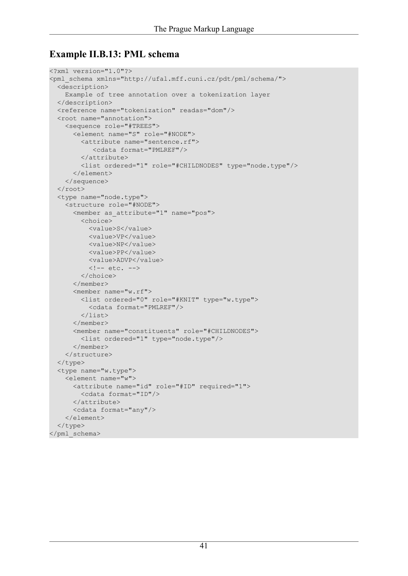### **Example II.B.13: PML schema**

```
<?xml version="1.0"?>
<pml_schema xmlns="http://ufal.mff.cuni.cz/pdt/pml/schema/">
  <description>
    Example of tree annotation over a tokenization layer
  </description>
  <reference name="tokenization" readas="dom"/>
  <root name="annotation">
    <sequence role="#TREES">
      <element name="S" role="#NODE">
        <attribute name="sentence.rf">
           <cdata format="PMLREF"/>
        </attribute>
        <list ordered="1" role="#CHILDNODES" type="node.type"/>
      </element>
    </sequence>
  \langleroot\rangle<type name="node.type">
    <structure role="#NODE">
      <member as_attribute="1" name="pos">
        <choice>
          <value>S</value>
          <value>VP</value>
          <value>NP</value>
          <value>PP</value>
          <value>ADVP</value>
          \langle!-- etc. -->
        </choice>
      </member>
      <member name="w.rf">
        <list ordered="0" role="#KNIT" type="w.type">
          <cdata format="PMLREF"/>
        \langle/list>
      </member>
      <member name="constituents" role="#CHILDNODES">
        <list ordered="1" type="node.type"/>
      </member>
    </structure>
  </type>
  <type name="w.type">
    <element name="w">
      <attribute name="id" role="#ID" required="1">
        <cdata format="ID"/>
      </attribute>
      <cdata format="any"/>
    </element>
  </type>
</pml_schema>
```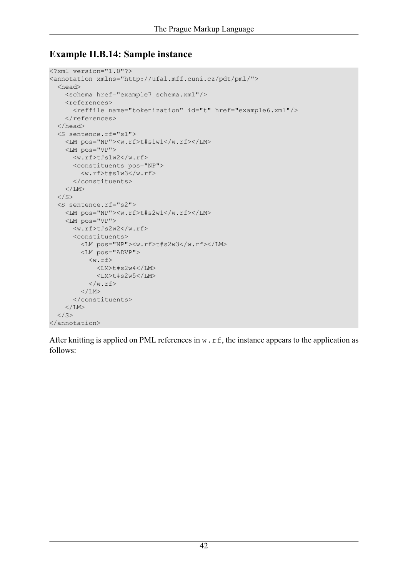### **Example II.B.14: Sample instance**

```
<?xml version="1.0"?>
<annotation xmlns="http://ufal.mff.cuni.cz/pdt/pml/">
  <head>
    <schema href="example7_schema.xml"/>
    <references>
       <reffile name="tokenization" id="t" href="example6.xml"/>
    </references>
  </head>
  <S sentence.rf="s1">
    <LM pos="NP"><w.rf>t#s1w1</w.rf></LM>
    <LM pos="VP">
      \langle w.rf \rangle t#s1w2\langle w.rf \rangle<constituents pos="NP">
         <w.rf>t#s1w3</w.rf>
       </constituents>
    \langle/LM\rangle\langle/S>
  <S sentence.rf="s2">
    <LM pos="NP"><w.rf>t#s2w1</w.rf></LM>
    <LM pos="VP">
      \langle w.rf \rangle t#s2w2\langle w.rf \rangle<constituents>
         <LM pos="NP"><w.rf>t#s2w3</w.rf></LM>
         <LM pos="ADVP">
           \langle w.rf \rangle<LM>t#s2w4</LM>
              <LM>t#s2w5</LM>
           \langle/w.rf>
         \rm </LM></constituents>
    \langle/LM\rangle\langle/S>
</annotation>
```
After knitting is applied on PML references in  $w \cdot r$  f, the instance appears to the application as follows: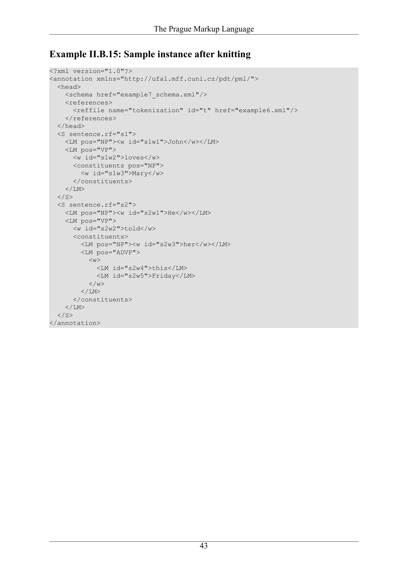### **Example II.B.15: Sample instance after knitting**

```
<?xml version="1.0"?>
<annotation xmlns="http://ufal.mff.cuni.cz/pdt/pml/">
  <head>
    <schema href="example7_schema.xml"/>
    <references>
      <reffile name="tokenization" id="t" href="example6.xml"/>
    </references>
  </head>
  <S sentence.rf="s1">
    <LM pos="NP"><w id="s1w1">John</w></LM>
    <LM pos="VP">
      <w id="s1w2">loves</w>
      <constituents pos="NP">
        <w id="s1w3">Mary</w>
      </constituents>
    \langle/LM\rangle\langle/S>
  <S sentence.rf="s2">
    <LM pos="NP"><w id="s2w1">He</w></LM>
    <LM pos="VP">
      <w id="s2w2">told</w>
      <constituents>
        <LM pos="NP"><w id="s2w3">her</w></LM>
        <LM pos="ADVP">
           \langle w \rangle<LM id="s2w4">this</LM>
             <LM id="s2w5">Friday</LM>
           \langle/w>\rm </LM></constituents>
    \langle/LM\rangle\langle/S>
</annotation>
```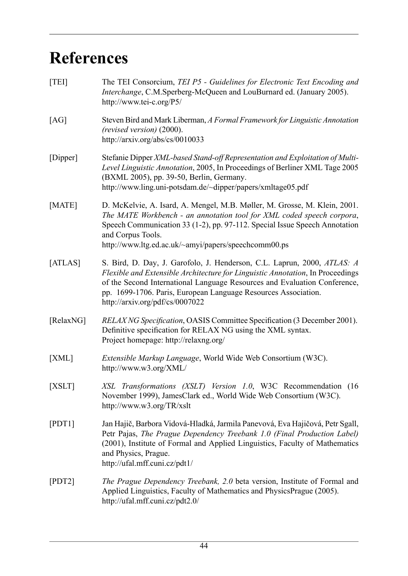## <span id="page-43-0"></span>**References**

<span id="page-43-8"></span><span id="page-43-7"></span><span id="page-43-6"></span><span id="page-43-5"></span><span id="page-43-4"></span><span id="page-43-3"></span><span id="page-43-2"></span><span id="page-43-1"></span>

| [TEI]     | The TEI Consorcium, TEI P5 - Guidelines for Electronic Text Encoding and<br>Interchange, C.M.Sperberg-McQueen and LouBurnard ed. (January 2005).<br>http://www.tei-c.org/P5/                                                                                                                                                                |
|-----------|---------------------------------------------------------------------------------------------------------------------------------------------------------------------------------------------------------------------------------------------------------------------------------------------------------------------------------------------|
| [AG]      | Steven Bird and Mark Liberman, A Formal Framework for Linguistic Annotation<br>(revised version) (2000).<br>http://arxiv.org/abs/cs/0010033                                                                                                                                                                                                 |
| [Dipper]  | Stefanie Dipper XML-based Stand-off Representation and Exploitation of Multi-<br>Level Linguistic Annotation, 2005, In Proceedings of Berliner XML Tage 2005<br>(BXML 2005), pp. 39-50, Berlin, Germany.<br>http://www.ling.uni-potsdam.de/~dipper/papers/xmltage05.pdf                                                                     |
| [MATE]    | D. McKelvie, A. Isard, A. Mengel, M.B. Møller, M. Grosse, M. Klein, 2001.<br>The MATE Workbench - an annotation tool for XML coded speech corpora,<br>Speech Communication 33 (1-2), pp. 97-112. Special Issue Speech Annotation<br>and Corpus Tools.<br>http://www.ltg.ed.ac.uk/~amyi/papers/speechcomm00.ps                               |
| [ATLAS]   | S. Bird, D. Day, J. Garofolo, J. Henderson, C.L. Laprun, 2000, ATLAS: A<br>Flexible and Extensible Architecture for Linguistic Annotation, In Proceedings<br>of the Second International Language Resources and Evaluation Conference,<br>pp. 1699-1706. Paris, European Language Resources Association.<br>http://arxiv.org/pdf/cs/0007022 |
| [RelaxNG] | RELAXNG Specification, OASIS Committee Specification (3 December 2001).<br>Definitive specification for RELAX NG using the XML syntax.<br>Project homepage: http://relaxng.org/                                                                                                                                                             |
| [XML]     | Extensible Markup Language, World Wide Web Consortium (W3C).<br>http://www.w3.org/XML/                                                                                                                                                                                                                                                      |
| [XSLT]    | XSL Transformations (XSLT) Version 1.0, W3C Recommendation (16<br>November 1999), JamesClark ed., World Wide Web Consortium (W3C).<br>http://www.w3.org/TR/xslt                                                                                                                                                                             |
| [PDT1]    | Jan Hajič, Barbora Vidová-Hladká, Jarmila Panevová, Eva Hajičová, Petr Sgall,<br>Petr Pajas, The Prague Dependency Treebank 1.0 (Final Production Label)<br>(2001), Institute of Formal and Applied Linguistics, Faculty of Mathematics<br>and Physics, Prague.<br>http://ufal.mff.cuni.cz/pdt1/                                            |
| [PDT2]    | <i>The Prague Dependency Treebank, 2.0 beta version, Institute of Formal and</i><br>Applied Linguistics, Faculty of Mathematics and PhysicsPrague (2005).<br>http://ufal.mff.cuni.cz/pdt2.0/                                                                                                                                                |